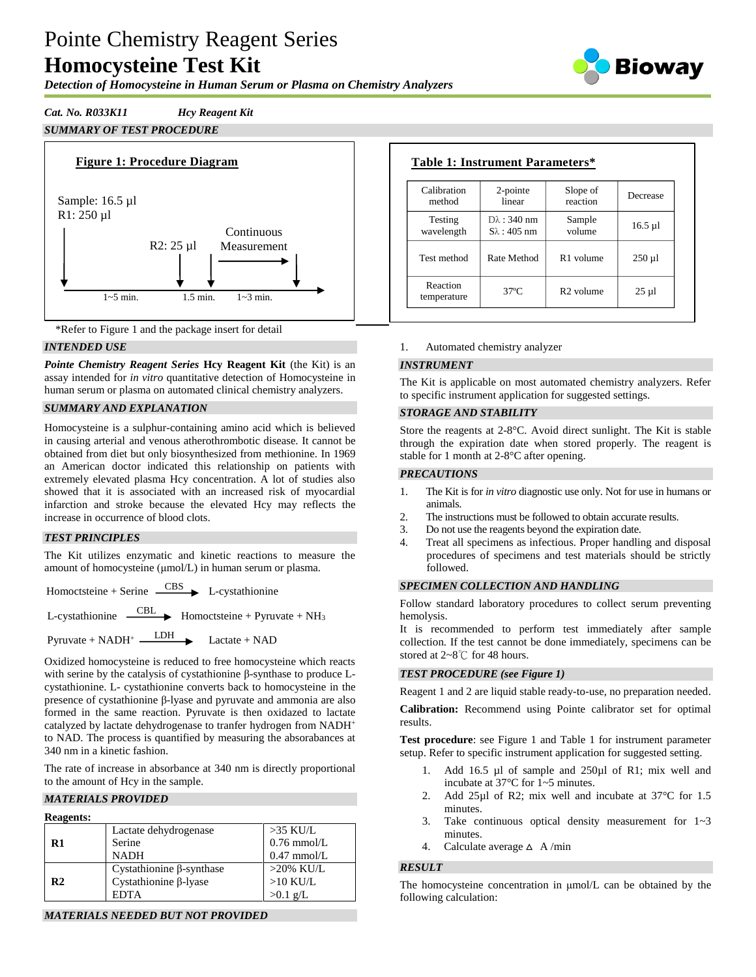# Pointe Chemistry Reagent Series **Homocysteine Test Kit**

**Bioway** 

## *Detection of Homocysteine in Human Serum or Plasma on Chemistry Analyzers*

## *Cat. No. R033K11 Hcy Reagent Kit SUMMARY OF TEST PROCEDURE*





## *INTENDED USE*

*Pointe Chemistry Reagent Series* **Hcy Reagent Kit** (the Kit) is an assay intended for *in vitro* quantitative detection of Homocysteine in human serum or plasma on automated clinical chemistry analyzers.

## *SUMMARY AND EXPLANATION*

Homocysteine is a sulphur-containing amino acid which is believed in causing arterial and venous atherothrombotic disease. It cannot be obtained from diet but only biosynthesized from methionine. In 1969 an American doctor indicated this relationship on patients with extremely elevated plasma Hcy concentration. A lot of studies also showed that it is associated with an increased risk of myocardial infarction and stroke because the elevated Hcy may reflects the increase in occurrence of blood clots.

## *TEST PRINCIPLES*

The Kit utilizes enzymatic and kinetic reactions to measure the amount of homocysteine (μmol/L) in human serum or plasma.

Homoctsteine + Serine  $\overline{\phantom{C_{\phantom{C}}^C\}}$  L-cystathionine

L-cystathionine  $\overline{\phantom{CBL}}$  Homoctsteine + Pyruvate + NH<sub>3</sub>

 $Pyruvate + NADH<sup>+</sup>$  Lactate + NAD

Oxidized homocysteine is reduced to free homocysteine which reacts with serine by the catalysis of cystathionine β-synthase to produce Lcystathionine. L- cystathionine converts back to homocysteine in the presence of cystathionine β-lyase and pyruvate and ammonia are also formed in the same reaction. Pyruvate is then oxidazed to lactate catalyzed by lactate dehydrogenase to tranfer hydrogen from NADH<sup>+</sup> to NAD. The process is quantified by measuring the absorabances at 340 nm in a kinetic fashion.

The rate of increase in absorbance at 340 nm is directly proportional to the amount of Hcy in the sample.

## *MATERIALS PROVIDED*

| <b>Reagents:</b> |                                 |               |
|------------------|---------------------------------|---------------|
|                  | Lactate dehydrogenase           | $>35$ KU/L    |
| R1               | Serine                          | $0.76$ mmol/L |
|                  | <b>NADH</b>                     | $0.47$ mmol/L |
|                  | Cystathionine $\beta$ -synthase | $>20\%$ KU/L  |
| R <sub>2</sub>   | Cystathionine $\beta$ -lyase    | $>10$ KU/L    |
|                  | <b>EDTA</b>                     | $>0.1$ g/L    |

*MATERIALS NEEDED BUT NOT PROVIDED*

#### **Table 1: Instrument Parameters\***  $\sim$  called 2-pointe Slope of

| Calibration             | 2-pointe               | Slope of              | Decrease     |
|-------------------------|------------------------|-----------------------|--------------|
| method                  | linear                 | reaction              |              |
| Testing                 | $D\lambda$ : 340 nm    | Sample                | $16.5 \mu$ l |
| wavelength              | $S_{\lambda}$ : 405 nm | volume                |              |
| Test method             | Rate Method            | R <sub>1</sub> volume | $250 \mu$    |
| Reaction<br>temperature | $37^{\circ}$ C         | R <sub>2</sub> volume | $25 \mu$     |

## 1. Automated chemistry analyzer

## *INSTRUMENT*

The Kit is applicable on most automated chemistry analyzers. Refer to specific instrument application for suggested settings.

#### *STORAGE AND STABILITY*

Store the reagents at 2-8°C. Avoid direct sunlight. The Kit is stable through the expiration date when stored properly. The reagent is stable for 1 month at 2-8°C after opening.

#### *PRECAUTIONS*

- 1. The Kit is for *in vitro* diagnostic use only. Not for use in humans or animals.
- 2. The instructions must be followed to obtain accurate results.
- 3. Do not use the reagents beyond the expiration date.
- 4. Treat all specimens as infectious. Proper handling and disposal procedures of specimens and test materials should be strictly followed.

## *SPECIMEN COLLECTION AND HANDLING*

Follow standard laboratory procedures to collect serum preventing hemolysis.

It is recommended to perform test immediately after sample collection. If the test cannot be done immediately, specimens can be stored at 2~8℃ for 48 hours.

## *TEST PROCEDURE (see Figure 1)*

Reagent 1 and 2 are liquid stable ready-to-use, no preparation needed.

**Calibration:** Recommend using Pointe calibrator set for optimal results.

**Test procedure**: see Figure 1 and Table 1 for instrument parameter setup. Refer to specific instrument application for suggested setting.

- 1. Add 16.5 µl of sample and 250µl of R1; mix well and incubate at 37°C for 1~5 minutes.
- 2. Add 25µl of R2; mix well and incubate at 37 °C for 1.5 minutes.
- 3. Take continuous optical density measurement for 1~3 minutes.
- 4. Calculate average  $\triangle$  A/min

## *RESULT*

The homocysteine concentration in μmol/L can be obtained by the following calculation: